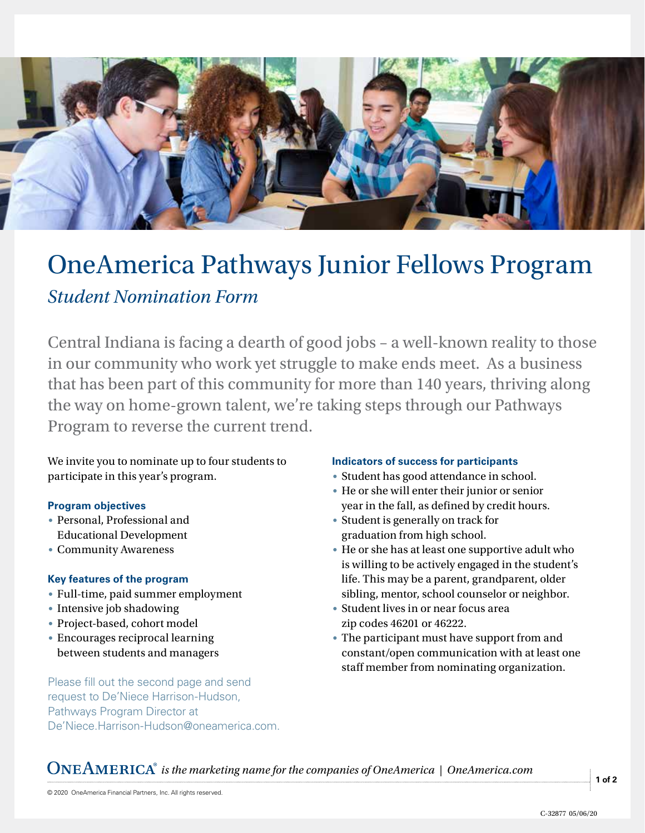

## OneAmerica Pathways Junior Fellows Program *Student Nomination Form*

Central Indiana is facing a dearth of good jobs – a well-known reality to those in our community who work yet struggle to make ends meet. As a business that has been part of this community for more than 140 years, thriving along the way on home-grown talent, we're taking steps through our Pathways Program to reverse the current trend.

We invite you to nominate up to four students to participate in this year's program.

## **Program objectives**

- Personal, Professional and Educational Development
- Community Awareness

## **Key features of the program**

- Full-time, paid summer employment
- Intensive job shadowing
- Project-based, cohort model
- Encourages reciprocal learning between students and managers

Please fill out the second page and send request to De'Niece Harrison-Hudson, Pathways Program Director at De'Niece.Harrison-Hudson@oneamerica.com.

## **Indicators of success for participants**

- Student has good attendance in school.
- He or she will enter their junior or senior year in the fall, as defined by credit hours.
- Student is generally on track for graduation from high school.
- He or she has at least one supportive adult who is willing to be actively engaged in the student's life. This may be a parent, grandparent, older sibling, mentor, school counselor or neighbor.
- Student lives in or near focus area zip codes 46201 or 46222.
- The participant must have support from and constant/open communication with at least one staff member from nominating organization.

*is the marketing name for the companies of OneAmerica | OneAmerica.com*

**1 of 2**